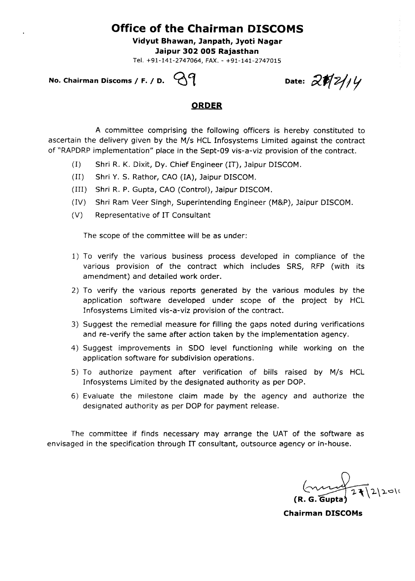## **Office of the Chairman DISCOMS**

**Vidyut Bhawan, Janpath, Jyoti Nagar Jaipur 302 005 Rajasthan** 

Tel. +91-141-2747064, FAX. - +91-141-2747015

**No. Chairman Discoms / F. / D.**  $\bigcirc$  $\bigcirc$  $\uparrow$  **<b>Date:**  $\partial$   $\mathcal{N}$   $\mathcal{Z}$   $\mathcal{Y}$   $\mathcal{Y}$ 

## **ORDER**

A committee comprising the following officers is hereby constituted to ascertain the delivery given by the M/s HCL Infosystems Limited against the contract of "RAPDRP implementation" place in the Sept-09 vis-a-viz provision of the contract.

- (I) Shri R. K. Dixit, Dy. Chief Engineer (IT), Jaipur DISCOM.
- (II) Shri Y. S. Rathor, CAO (IA), Jaipur DISCOM.
- (III) Shri R. P. Gupta, CAO (Control), Jaipur DISCOM.
- (IV) Shri Ram Veer Singh, Superintending Engineer (M&P), Jaipur DISCOM.
- (V) Representative of IT Consultant

The scope of the committee will be as under:

- **1) To** verify the various business process developed in compliance of the various provision of the contract which includes SRS, RFP (with its amendment) and detailed work order.
- 2) To verify the various reports generated by the various modules by the application software developed under scope of the project by HCL Infosystems Limited vis-a-viz provision of the contract.
- 3) Suggest the remedial measure for filling the gaps noted during verifications and re-verify the same after action taken by the implementation agency.
- 4) Suggest improvements in SDO level functioning while working on the application software for subdivision operations.
- **5) To** authorize payment after verification of bills raised by M/s HCL Infosystems Limited by the designated authority as per DOP.
- 6) Evaluate the milestone claim made by the agency and authorize the designated authority as per DOP for payment release.

The committee if finds necessary may arrange the UAT of the software as envisaged in the specification through IT consultant, outsource agency or in-house.

 $24|2|20|1$ **(R. G. Gupta** 

**Chairman DISCOMs**